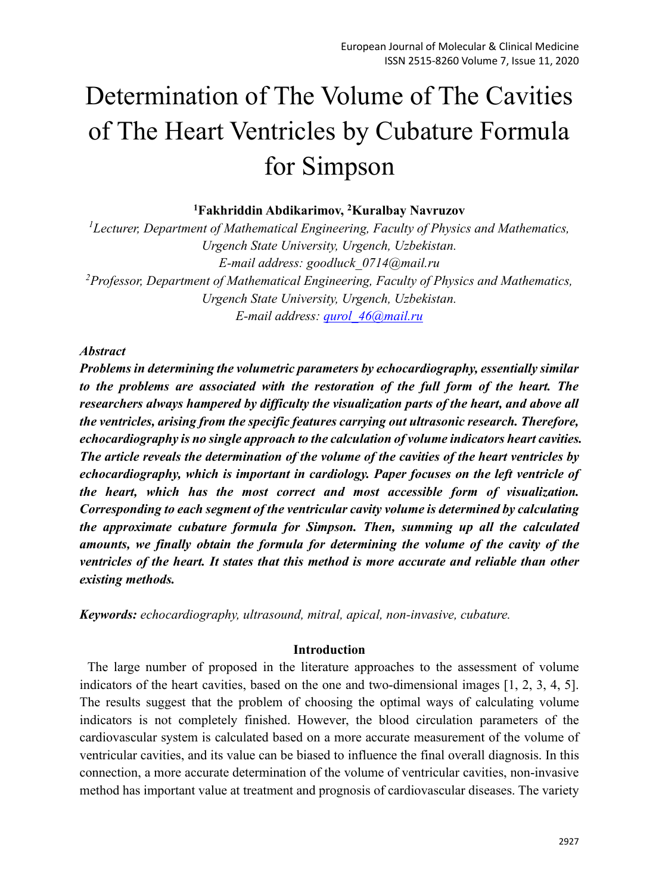# Determination of The Volume of The Cavities of The Heart Ventricles by Cubature Formula for Simpson

#### **<sup>1</sup>Fakhriddin Abdikarimov, <sup>2</sup>Kuralbay Navruzov**

*<sup>1</sup>Lecturer, Department of Mathematical Engineering, Faculty of Physics and Mathematics, Urgench State University, Urgench, Uzbekistan. E-mail address: goodluck\_0714@mail.ru <sup>2</sup>Professor, Department of Mathematical Engineering, Faculty of Physics and Mathematics, Urgench State University, Urgench, Uzbekistan. E-mail address: [qurol\\_46@mail.ru](mailto:qurol_46@mail.ru)*

### *Abstract*

*Problems in determining the volumetric parameters by echocardiography, essentially similar to the problems are associated with the restoration of the full form of the heart. The researchers always hampered by difficulty the visualization parts of the heart, and above all the ventricles, arising from the specific features carrying out ultrasonic research. Therefore, echocardiography is no single approach to the calculation of volume indicators heart cavities. The article reveals the determination of the volume of the cavities of the heart ventricles by echocardiography, which is important in cardiology. Paper focuses on the left ventricle of the heart, which has the most correct and most accessible form of visualization. Corresponding to each segment of the ventricular cavity volume is determined by calculating the approximate cubature formula for Simpson. Then, summing up all the calculated amounts, we finally obtain the formula for determining the volume of the cavity of the ventricles of the heart. It states that this method is more accurate and reliable than other existing methods.*

*Keywords: echocardiography, ultrasound, mitral, apical, non-invasive, cubature.*

#### **Introduction**

The large number of proposed in the literature approaches to the assessment of volume indicators of the heart cavities, based on the one and two-dimensional images [1, 2, 3, 4, 5]. The results suggest that the problem of choosing the optimal ways of calculating volume indicators is not completely finished. However, the blood circulation parameters of the cardiovascular system is calculated based on a more accurate measurement of the volume of ventricular cavities, and its value can be biased to influence the final overall diagnosis. In this connection, a more accurate determination of the volume of ventricular cavities, non-invasive method has important value at treatment and prognosis of cardiovascular diseases. The variety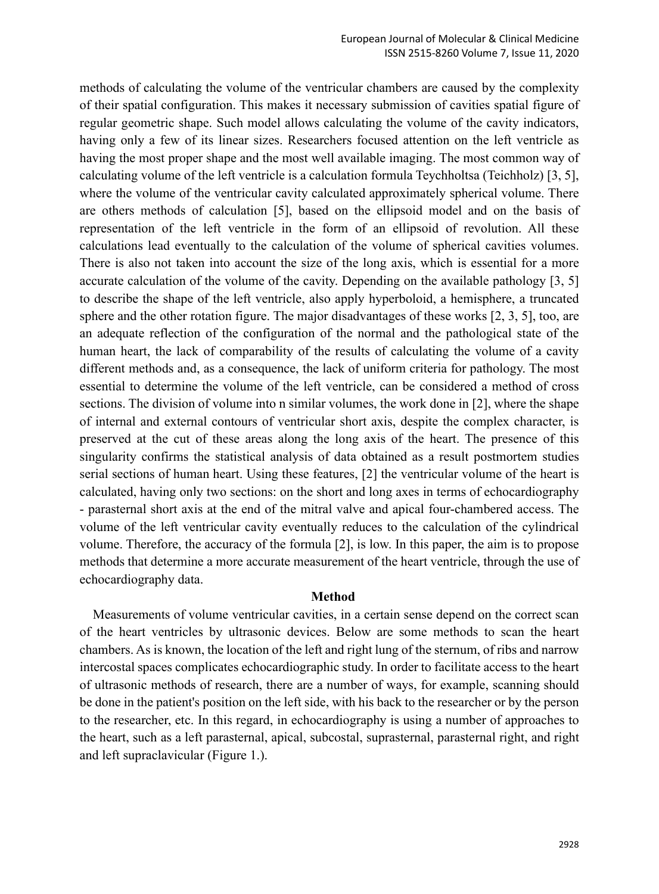methods of calculating the volume of the ventricular chambers are caused by the complexity of their spatial configuration. This makes it necessary submission of cavities spatial figure of regular geometric shape. Such model allows calculating the volume of the cavity indicators, having only a few of its linear sizes. Researchers focused attention on the left ventricle as having the most proper shape and the most well available imaging. The most common way of calculating volume of the left ventricle is a calculation formula Teychholtsa (Teichholz) [3, 5], where the volume of the ventricular cavity calculated approximately spherical volume. There are others methods of calculation [5], based on the ellipsoid model and on the basis of representation of the left ventricle in the form of an ellipsoid of revolution. All these calculations lead eventually to the calculation of the volume of spherical cavities volumes. There is also not taken into account the size of the long axis, which is essential for a more accurate calculation of the volume of the cavity. Depending on the available pathology [3, 5] to describe the shape of the left ventricle, also apply hyperboloid, a hemisphere, a truncated sphere and the other rotation figure. The major disadvantages of these works [2, 3, 5], too, are an adequate reflection of the configuration of the normal and the pathological state of the human heart, the lack of comparability of the results of calculating the volume of a cavity different methods and, as a consequence, the lack of uniform criteria for pathology. The most essential to determine the volume of the left ventricle, can be considered a method of cross sections. The division of volume into n similar volumes, the work done in [2], where the shape of internal and external contours of ventricular short axis, despite the complex character, is preserved at the cut of these areas along the long axis of the heart. The presence of this singularity confirms the statistical analysis of data obtained as a result postmortem studies serial sections of human heart. Using these features, [2] the ventricular volume of the heart is calculated, having only two sections: on the short and long axes in terms of echocardiography - parasternal short axis at the end of the mitral valve and apical four-chambered access. The volume of the left ventricular cavity eventually reduces to the calculation of the cylindrical volume. Therefore, the accuracy of the formula [2], is low. In this paper, the aim is to propose methods that determine a more accurate measurement of the heart ventricle, through the use of echocardiography data.

#### **Method**

Measurements of volume ventricular cavities, in a certain sense depend on the correct scan of the heart ventricles by ultrasonic devices. Below are some methods to scan the heart chambers. As is known, the location of the left and right lung of the sternum, of ribs and narrow intercostal spaces complicates echocardiographic study. In order to facilitate access to the heart of ultrasonic methods of research, there are a number of ways, for example, scanning should be done in the patient's position on the left side, with his back to the researcher or by the person to the researcher, etc. In this regard, in echocardiography is using a number of approaches to the heart, such as a left parasternal, apical, subcostal, suprasternal, parasternal right, and right and left supraclavicular (Figure 1.).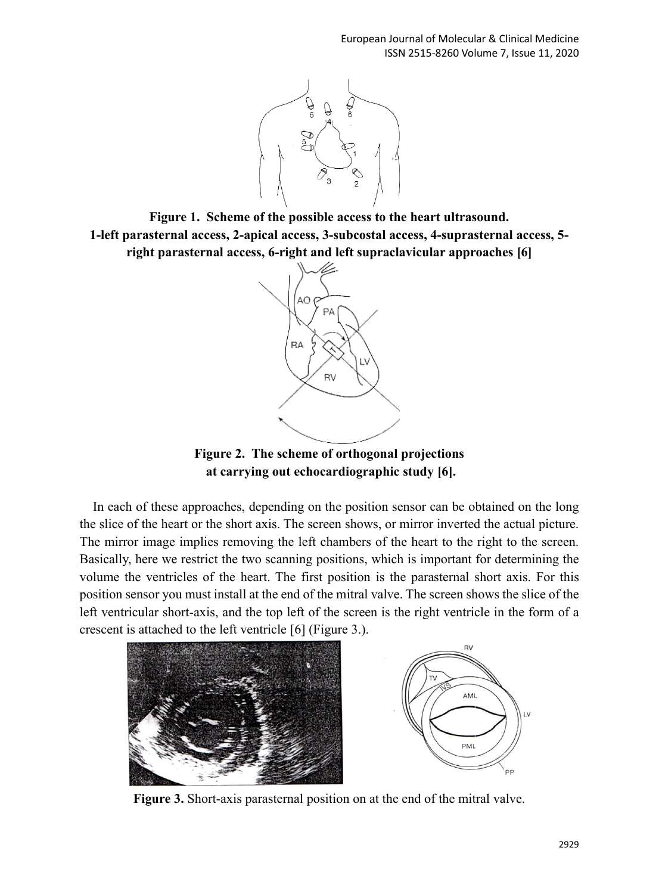

**Figure 1. Scheme of the possible access to the heart ultrasound. 1-left parasternal access, 2-apical access, 3-subcostal access, 4-suprasternal access, 5 right parasternal access, 6-right and left supraclavicular approaches [6]**



**Figure 2. The scheme of orthogonal projections at carrying out echocardiographic study [6].**

In each of these approaches, depending on the position sensor can be obtained on the long the slice of the heart or the short axis. The screen shows, or mirror inverted the actual picture. The mirror image implies removing the left chambers of the heart to the right to the screen. Basically, here we restrict the two scanning positions, which is important for determining the volume the ventricles of the heart. The first position is the parasternal short axis. For this position sensor you must install at the end of the mitral valve. The screen shows the slice of the left ventricular short-axis, and the top left of the screen is the right ventricle in the form of a crescent is attached to the left ventricle [6] (Figure 3.).





**Figure 3.** Short-axis parasternal position on at the end of the mitral valve.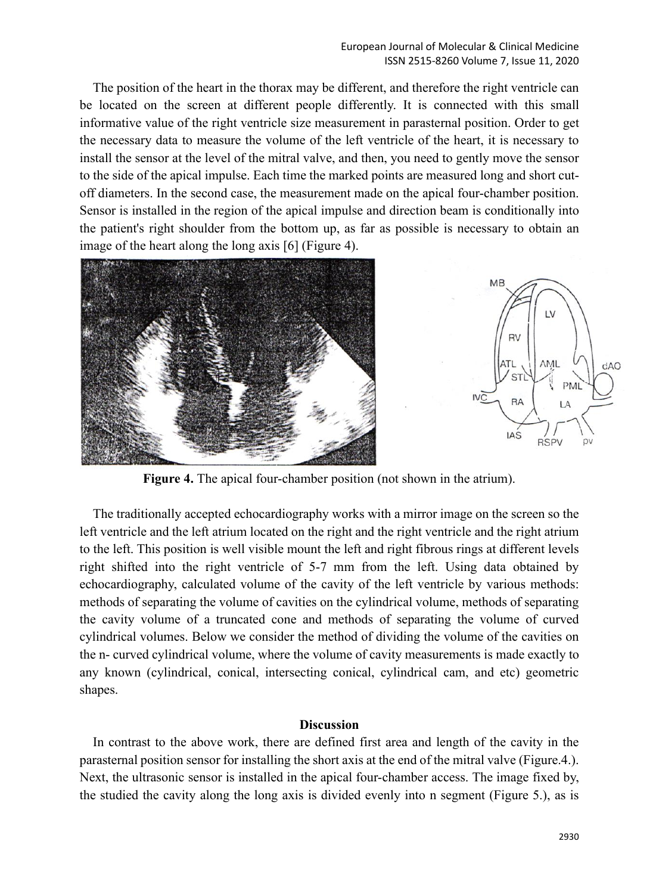The position of the heart in the thorax may be different, and therefore the right ventricle can be located on the screen at different people differently. It is connected with this small informative value of the right ventricle size measurement in parasternal position. Order to get the necessary data to measure the volume of the left ventricle of the heart, it is necessary to install the sensor at the level of the mitral valve, and then, you need to gently move the sensor to the side of the apical impulse. Each time the marked points are measured long and short cutoff diameters. In the second case, the measurement made on the apical four-chamber position. Sensor is installed in the region of the apical impulse and direction beam is conditionally into the patient's right shoulder from the bottom up, as far as possible is necessary to obtain an image of the heart along the long axis [6] (Figure 4).



 $MB$ LV **RV** ATL **AML**  $dAO$ **ST** PM  $N\overline{C}$ **RA** LA IAS **RSPV** D٧

**Figure 4.** The apical four-chamber position (not shown in the atrium).

The traditionally accepted echocardiography works with a mirror image on the screen so the left ventricle and the left atrium located on the right and the right ventricle and the right atrium to the left. This position is well visible mount the left and right fibrous rings at different levels right shifted into the right ventricle of 5-7 mm from the left. Using data obtained by echocardiography, calculated volume of the cavity of the left ventricle by various methods: methods of separating the volume of cavities on the cylindrical volume, methods of separating the cavity volume of a truncated cone and methods of separating the volume of curved cylindrical volumes. Below we consider the method of dividing the volume of the cavities on the n- curved cylindrical volume, where the volume of cavity measurements is made exactly to any known (cylindrical, conical, intersecting conical, cylindrical cam, and etc) geometric shapes.

#### **Discussion**

In contrast to the above work, there are defined first area and length of the cavity in the parasternal position sensor for installing the short axis at the end of the mitral valve (Figure.4.). Next, the ultrasonic sensor is installed in the apical four-chamber access. The image fixed by, the studied the cavity along the long axis is divided evenly into n segment (Figure 5.), as is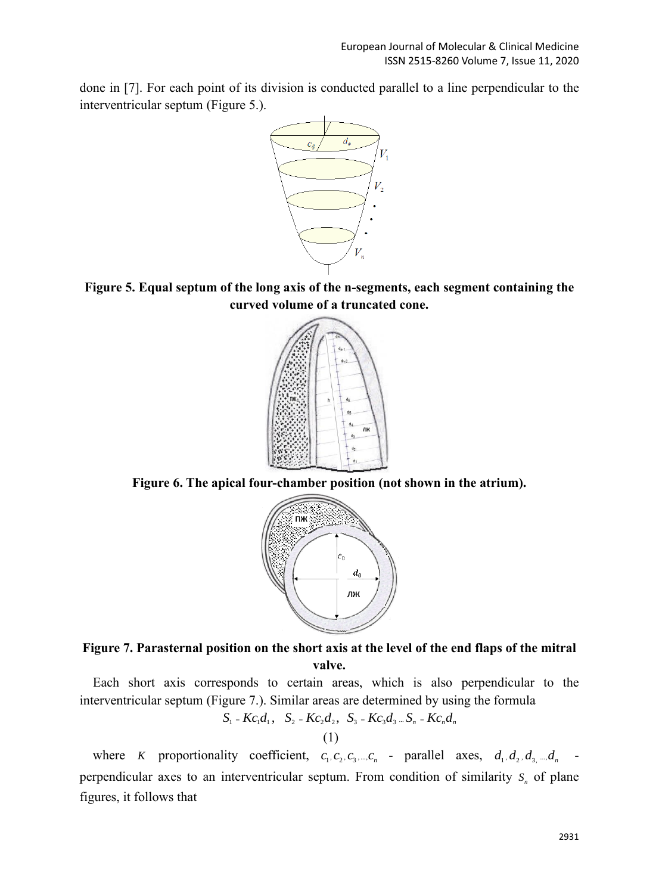done in [7]. For each point of its division is conducted parallel to a line perpendicular to the interventricular septum (Figure 5.).



**Figure 5. Equal septum of the long axis of the n-segments, each segment containing the curved volume of a truncated cone.**



**Figure 6. The apical four-chamber position (not shown in the atrium).**



# **Figure 7. Parasternal position on the short axis at the level of the end flaps of the mitral valve.**

Each short axis corresponds to certain areas, which is also perpendicular to the interventricular septum (Figure 7.). Similar areas are determined by using the formula

$$
S_1 = Kc_1d_1
$$
,  $S_2 = Kc_2d_2$ ,  $S_3 = Kc_3d_3...S_n = Kc_nd_n$ 

(1)

where K proportionality coefficient,  $c_1, c_2, c_3, \dots, c_n$  - parallel axes,  $d_1, d_2, d_3, \dots, d_n$ perpendicular axes to an interventricular septum. From condition of similarity  $S<sub>n</sub>$  of plane figures, it follows that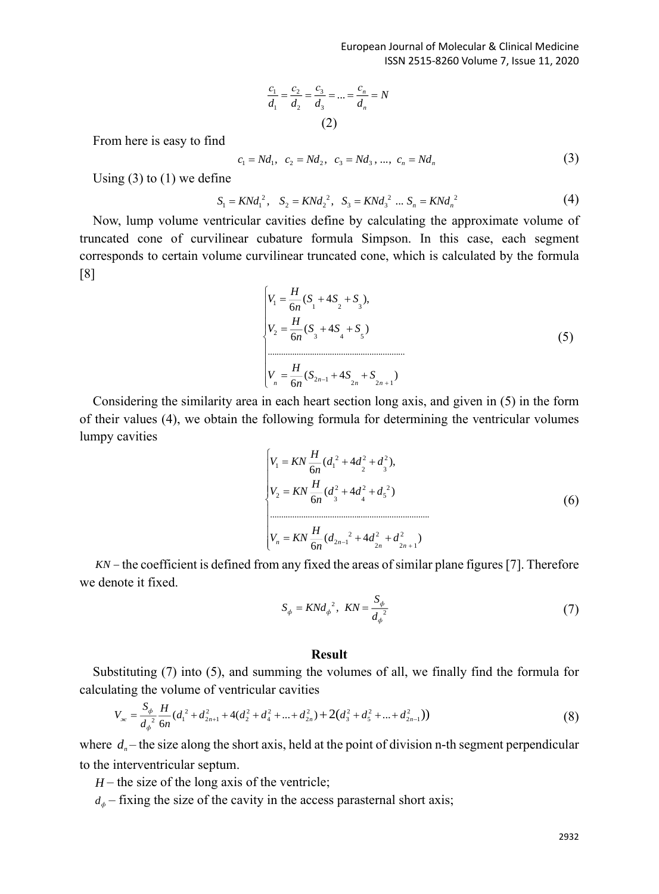$$
\frac{c_1}{d_1} = \frac{c_2}{d_2} = \frac{c_3}{d_3} = \dots = \frac{c_n}{d_n} = N
$$
\n(2)

From here is easy to find

$$
c_1 = Nd_1, \ c_2 = Nd_2, \ c_3 = Nd_3, \dots, \ c_n = Nd_n \tag{3}
$$

Using (3) to (1) we define

$$
S_1 = KNd_1^2, \quad S_2 = KNd_2^2, \quad S_3 = KNd_3^2 \dots S_n = KNd_n^2 \tag{4}
$$

Now, lump volume ventricular cavities define by calculating the approximate volume of truncated cone of curvilinear cubature formula Simpson. In this case, each segment corresponds to certain volume curvilinear truncated cone, which is calculated by the formula [8]

$$
\begin{cases}\nV_1 = \frac{H}{6n}(S_1 + 4S_2 + S_3), \\
V_2 = \frac{H}{6n}(S_3 + 4S_4 + S_5) \\
\vdots \\
V_n = \frac{H}{6n}(S_{2n-1} + 4S_{2n} + S_{2n+1})\n\end{cases}
$$
\n(5)

Considering the similarity area in each heart section long axis, and given in (5) in the form of their values (4), we obtain the following formula for determining the ventricular volumes lumpy cavities

$$
\begin{cases}\nV_1 = KN \frac{H}{6n} (d_1^2 + 4d_2^2 + d_3^2), \\
V_2 = KN \frac{H}{6n} (d_3^2 + 4d_4^2 + d_5^2) \\
&\dots \\
V_n = KN \frac{H}{6n} (d_{2n-1}^2 + 4d_{2n}^2 + d_{2n+1}^2)\n\end{cases}
$$
\n(6)

*KN* – the coefficient is defined from any fixed the areas of similar plane figures [7]. Therefore we denote it fixed.

$$
S_{\phi} = KNd_{\phi}^{2}, \quad KN = \frac{S_{\phi}}{d_{\phi}^{2}}
$$
 (7)

## **Result**

Substituting (7) into (5), and summing the volumes of all, we finally find the formula for calculating the volume of ventricular cavities

$$
V_{\infty} = \frac{S_{\phi}}{d_{\phi}^{2}} \frac{H}{6n} (d_{1}^{2} + d_{2n+1}^{2} + 4(d_{2}^{2} + d_{4}^{2} + ... + d_{2n}^{2}) + 2(d_{3}^{2} + d_{5}^{2} + ... + d_{2n-1}^{2}))
$$
\n(8)

where  $d_n$  – the size along the short axis, held at the point of division n-th segment perpendicular to the interventricular septum.

 $H$  – the size of the long axis of the ventricle;

 $d_{\phi}$  – fixing the size of the cavity in the access parasternal short axis;